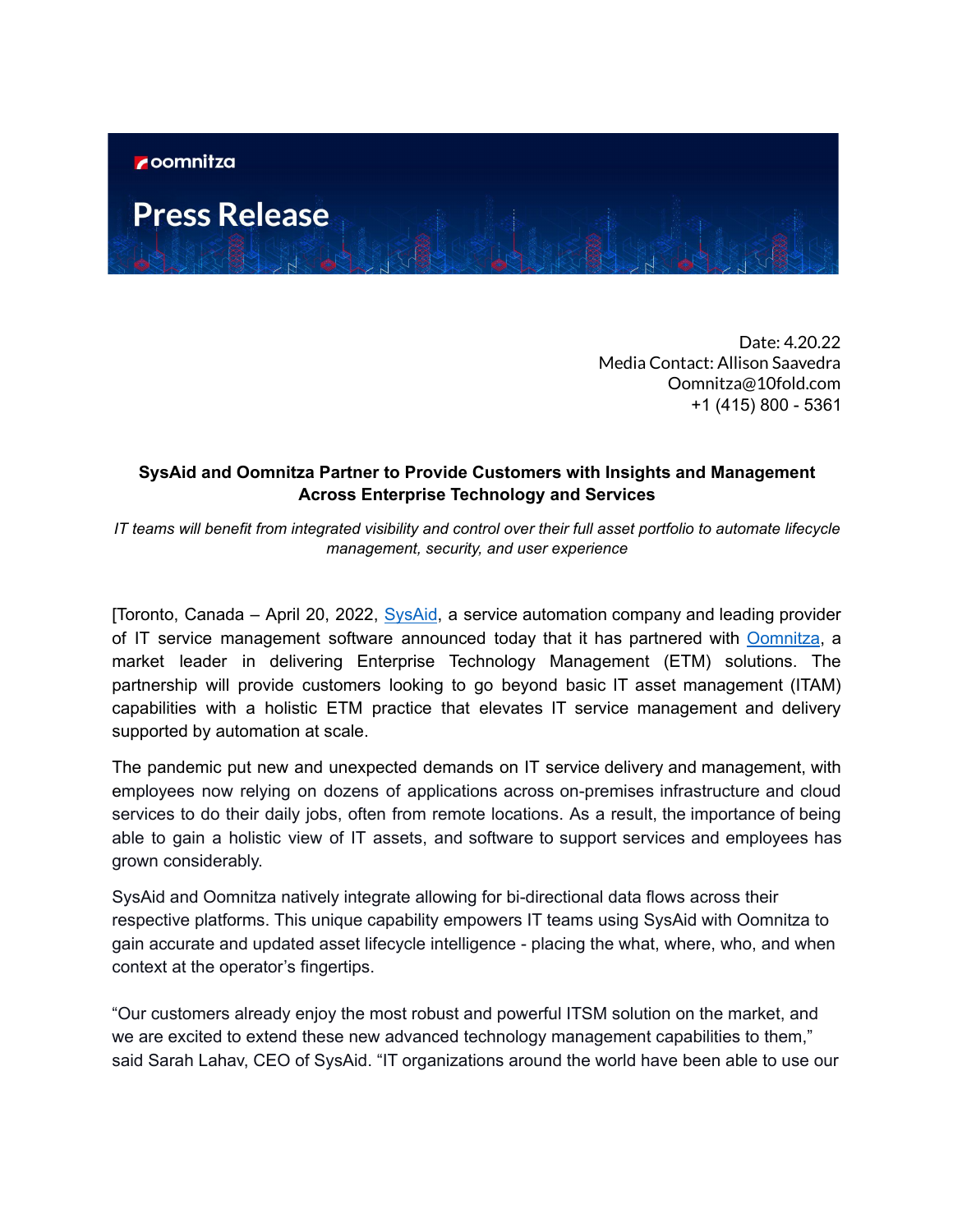## **Press Release**

Date: 4.20.22 Media Contact: Allison Saavedra Oomnitza@10fold.com +1 (415) 800 - 5361

## **SysAid and Oomnitza Partner to Provide Customers with Insights and Management Across Enterprise Technology and Services**

IT teams will benefit from integrated visibility and control over their full asset portfolio to automate lifecycle *management, security, and user experience*

[Toronto, Canada – April 20, 2022, [SysAid](https://www.sysaid.com/), a service automation company and leading provider of IT service management software announced today that it has partnered with [Oomnitza](https://www.oomnitza.com/), a market leader in delivering Enterprise Technology Management (ETM) solutions. The partnership will provide customers looking to go beyond basic IT asset management (ITAM) capabilities with a holistic ETM practice that elevates IT service management and delivery supported by automation at scale.

The pandemic put new and unexpected demands on IT service delivery and management, with employees now relying on dozens of applications across on-premises infrastructure and cloud services to do their daily jobs, often from remote locations. As a result, the importance of being able to gain a holistic view of IT assets, and software to support services and employees has grown considerably.

SysAid and Oomnitza natively integrate allowing for bi-directional data flows across their respective platforms. This unique capability empowers IT teams using SysAid with Oomnitza to gain accurate and updated asset lifecycle intelligence - placing the what, where, who, and when context at the operator's fingertips.

"Our customers already enjoy the most robust and powerful ITSM solution on the market, and we are excited to extend these new advanced technology management capabilities to them," said Sarah Lahav, CEO of SysAid. "IT organizations around the world have been able to use our